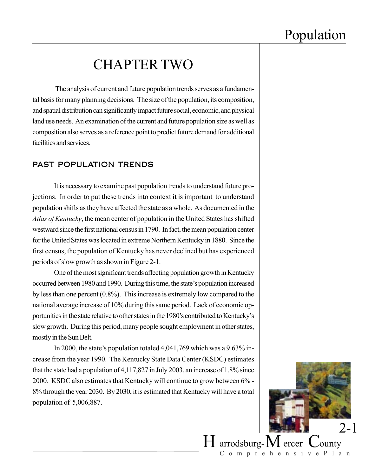## CHAPTER TWO

 The analysis of current and future population trends serves as a fundamental basis for many planning decisions. The size of the population, its composition, and spatial distribution can significantly impact future social, economic, and physical land use needs. An examination of the current and future population size as well as composition also serves as a reference point to predict future demand for additional facilities and services.

#### PAST POPULATION TRENDS

It is necessary to examine past population trends to understand future projections. In order to put these trends into context it is important to understand population shifts as they have affected the state as a whole. As documented in the *Atlas of Kentucky*, the mean center of population in the United States has shifted westward since the first national census in 1790. In fact, the mean population center for the United States was located in extreme Northern Kentucky in 1880. Since the first census, the population of Kentucky has never declined but has experienced periods of slow growth as shown in Figure 2-1.

One of the most significant trends affecting population growth in Kentucky occurred between 1980 and 1990. During this time, the state's population increased by less than one percent (0.8%). This increase is extremely low compared to the national average increase of 10% during this same period. Lack of economic opportunities in the state relative to other states in the 1980's contributed to Kentucky's slow growth. During this period, many people sought employment in other states, mostly in the Sun Belt.

In 2000, the state's population totaled 4,041,769 which was a 9.63% increase from the year 1990. The Kentucky State Data Center (KSDC) estimates that the state had a population of 4,117,827 in July 2003, an increase of 1.8% since 2000. KSDC also estimates that Kentucky will continue to grow between 6% - 8% through the year 2030. By 2030, it is estimated that Kentucky will have a total population of 5,006,887.



ComprehensivePlan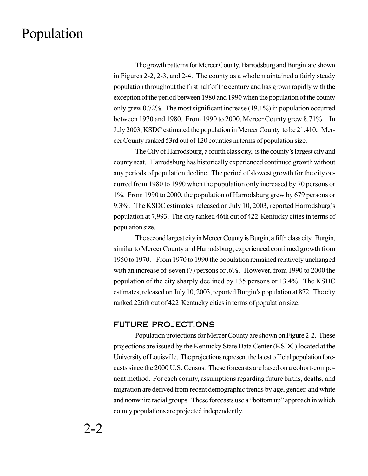The growth patterns for Mercer County, Harrodsburg and Burgin are shown in Figures 2-2, 2-3, and 2-4. The county as a whole maintained a fairly steady population throughout the first half of the century and has grown rapidly with the exception of the period between 1980 and 1990 when the population of the county only grew 0.72%. The most significant increase (19.1%) in population occurred between 1970 and 1980. From 1990 to 2000, Mercer County grew 8.71%. In July 2003, KSDC estimated the population in Mercer County to be 21,410**.** Mercer County ranked 53rd out of 120 counties in terms of population size.

The City of Harrodsburg, a fourth class city, is the county's largest city and county seat. Harrodsburg has historically experienced continued growth without any periods of population decline. The period of slowest growth for the city occurred from 1980 to 1990 when the population only increased by 70 persons or 1%. From 1990 to 2000, the population of Harrodsburg grew by 679 persons or 9.3%. The KSDC estimates, released on July 10, 2003, reported Harrodsburg's population at 7,993. The city ranked 46th out of 422 Kentucky cities in terms of population size.

The second largest city in Mercer County is Burgin, a fifth class city. Burgin, similar to Mercer County and Harrodsburg, experienced continued growth from 1950 to 1970. From 1970 to 1990 the population remained relatively unchanged with an increase of seven (7) persons or .6%. However, from 1990 to 2000 the population of the city sharply declined by 135 persons or 13.4%. The KSDC estimates, released on July 10, 2003, reported Burgin's population at 872. The city ranked 226th out of 422 Kentucky cities in terms of population size.

#### FUTURE PROJECTIONS

Population projections for Mercer County are shown on Figure 2-2. These projections are issued by the Kentucky State Data Center (KSDC) located at the University of Louisville. The projections represent the latest official population forecasts since the 2000 U.S. Census. These forecasts are based on a cohort-component method. For each county, assumptions regarding future births, deaths, and migration are derived from recent demographic trends by age, gender, and white and nonwhite racial groups. These forecasts use a "bottom up" approach in which county populations are projected independently.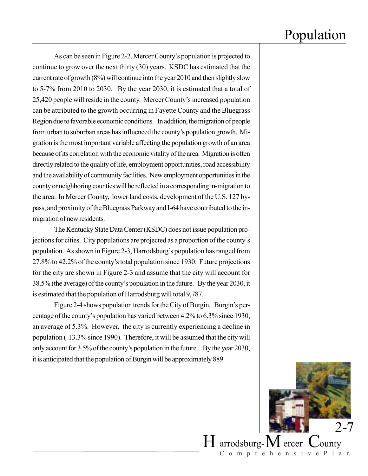As can be seen in Figure 2-2, Mercer County's population is projected to continue to grow over the next thirty (30) years. KSDC has estimated that the current rate of growth (8%) will continue into the year 2010 and then slightly slow to 5-7% from 2010 to 2030. By the year 2030, it is estimated that a total of 25,420 people will reside in the county. Mercer County's increased population can be attributed to the growth occurring in Fayette County and the Bluegrass Region due to favorable economic conditions. In addition, the migration of people from urban to suburban areas has influenced the county's population growth. Migration is the most important variable affecting the population growth of an area because of its correlation with the economic vitality of the area. Migration is often directly related to the quality of life, employment opportunities, road accessibility and the availability of community facilities. New employment opportunities in the county or neighboring counties will be reflected in a corresponding in-migration to the area. In Mercer County, lower land costs, development of the U.S. 127 bypass, and proximity of the Bluegrass Parkway and I-64 have contributed to the inmigration of new residents.

The Kentucky State Data Center (KSDC) does not issue population projections for cities. City populations are projected as a proportion of the county's population. As shown in Figure 2-3, Harrodsburg's population has ranged from 27.8% to 42.2% of the county's total population since 1930. Future projections for the city are shown in Figure 2-3 and assume that the city will account for 38.5% (the average) of the county's population in the future. By the year 2030, it is estimated that the population of Harrodsburg will total 9,787.

Figure 2-4 shows population trends for the City of Burgin. Burgin's percentage of the county's population has varied between 4.2% to 6.3% since 1930, an average of 5.3%. However, the city is currently experiencing a decline in population (-13.3% since 1990). Therefore, it will be assumed that the city will only account for 3.5% of the county's population in the future. By the year 2030, it is anticipated that the population of Burgin will be approximately 889.

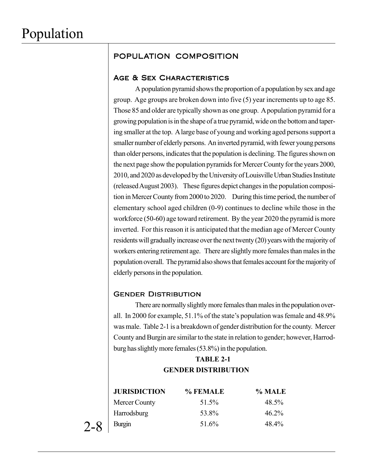## POPULATION COMPOSITION

#### AGE & SEX CHARACTERISTICS

A population pyramid shows the proportion of a population by sex and age group. Age groups are broken down into five (5) year increments up to age 85. Those 85 and older are typically shown as one group. A population pyramid for a growing population is in the shape of a true pyramid, wide on the bottom and tapering smaller at the top. A large base of young and working aged persons support a smaller number of elderly persons. An inverted pyramid, with fewer young persons than older persons, indicates that the population is declining. The figures shown on the next page show the population pyramids for Mercer County for the years 2000, 2010, and 2020 as developed by the University of Louisville Urban Studies Institute (released August 2003). These figures depict changes in the population composition in Mercer County from 2000 to 2020. During this time period, the number of elementary school aged children (0-9) continues to decline while those in the workforce (50-60) age toward retirement. By the year 2020 the pyramid is more inverted. For this reason it is anticipated that the median age of Mercer County residents will gradually increase over the next twenty (20) years with the majority of workers entering retirement age. There are slightly more females than males in the population overall. The pyramid also shows that females account for the majority of elderly persons in the population.

#### **GENDER DISTRIBUTION**

There are normally slightly more females than males in the population overall. In 2000 for example, 51.1% of the state's population was female and 48.9% was male. Table 2-1 is a breakdown of gender distribution for the county. Mercer County and Burgin are similar to the state in relation to gender; however, Harrodburg has slightly more females (53.8%) in the population.

### **TABLE 2-1 GENDER DISTRIBUTION**

| <b>JURISDICTION</b> | % FEMALE | $\%$ MALE |
|---------------------|----------|-----------|
| Mercer County       | 51.5%    | 48.5%     |
| Harrodsburg         | 53.8%    | $46.2\%$  |
| Burgin              | 51.6%    | 48.4%     |

2-8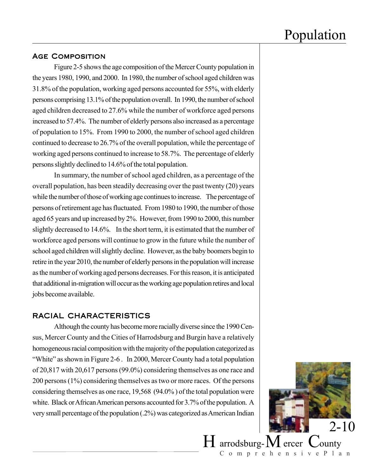#### Age Composition

Figure 2-5 shows the age composition of the Mercer County population in the years 1980, 1990, and 2000. In 1980, the number of school aged children was 31.8% of the population, working aged persons accounted for 55%, with elderly persons comprising 13.1% of the population overall. In 1990, the number of school aged children decreased to 27.6% while the number of workforce aged persons increased to 57.4%. The number of elderly persons also increased as a percentage of population to 15%. From 1990 to 2000, the number of school aged children continued to decrease to 26.7% of the overall population, while the percentage of working aged persons continued to increase to 58.7%. The percentage of elderly persons slightly declined to 14.6% of the total population.

In summary, the number of school aged children, as a percentage of the overall population, has been steadily decreasing over the past twenty (20) years while the number of those of working age continues to increase. The percentage of persons of retirement age has fluctuated. From 1980 to 1990, the number of those aged 65 years and up increased by 2%. However, from 1990 to 2000, this number slightly decreased to 14.6%. In the short term, it is estimated that the number of workforce aged persons will continue to grow in the future while the number of school aged children will slightly decline. However, as the baby boomers begin to retire in the year 2010, the number of elderly persons in the population will increase as the number of working aged persons decreases. For this reason, it is anticipated that additional in-migration will occur as the working age population retires and local jobs become available.

#### RACIAL CHARACTERISTICS

Although the county has become more racially diverse since the 1990 Census, Mercer County and the Cities of Harrodsburg and Burgin have a relatively homogeneous racial composition with the majority of the population categorized as "White" as shown in Figure 2-6 . In 2000, Mercer County had a total population of 20,817 with 20,617 persons (99.0%) considering themselves as one race and 200 persons (1%) considering themselves as two or more races. Of the persons considering themselves as one race, 19,568 (94.0% ) of the total population were white. Black or African American persons accounted for 3.7% of the population. A very small percentage of the population (.2%) was categorized as American Indian



ComprehensivePlan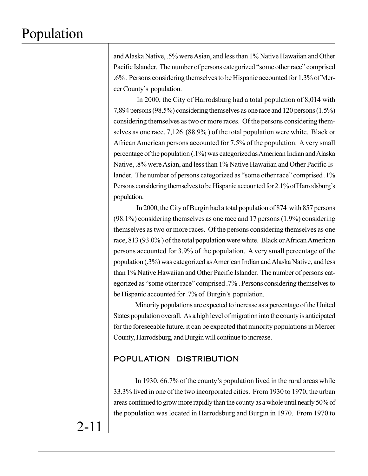and Alaska Native, .5% were Asian, and less than 1% Native Hawaiian and Other Pacific Islander. The number of persons categorized "some other race" comprised .6% . Persons considering themselves to be Hispanic accounted for 1.3% of Mercer County's population.

 In 2000, the City of Harrodsburg had a total population of 8,014 with 7,894 persons (98.5%) considering themselves as one race and 120 persons (1.5%) considering themselves as two or more races. Of the persons considering themselves as one race, 7,126 (88.9% ) of the total population were white. Black or African American persons accounted for 7.5% of the population. A very small percentage of the population (.1%) was categorized as American Indian and Alaska Native, .8% were Asian, and less than 1% Native Hawaiian and Other Pacific Islander. The number of persons categorized as "some other race" comprised .1% Persons considering themselves to be Hispanic accounted for 2.1% of Harrodsburg's population.

 In 2000, the City of Burgin had a total population of 874 with 857 persons (98.1%) considering themselves as one race and 17 persons (1.9%) considering themselves as two or more races. Of the persons considering themselves as one race, 813 (93.0% ) of the total population were white. Black or African American persons accounted for 3.9% of the population. A very small percentage of the population (.3%) was categorized as American Indian and Alaska Native, and less than 1% Native Hawaiian and Other Pacific Islander. The number of persons categorized as "some other race" comprised .7% . Persons considering themselves to be Hispanic accounted for .7% of Burgin's population.

Minority populations are expected to increase as a percentage of the United States population overall. As a high level of migration into the county is anticipated for the foreseeable future, it can be expected that minority populations in Mercer County, Harrodsburg, and Burgin will continue to increase.

### POPULATION DISTRIBUTION

In 1930, 66.7% of the county's population lived in the rural areas while 33.3% lived in one of the two incorporated cities. From 1930 to 1970, the urban areas continued to grow more rapidly than the county as a whole until nearly 50% of the population was located in Harrodsburg and Burgin in 1970. From 1970 to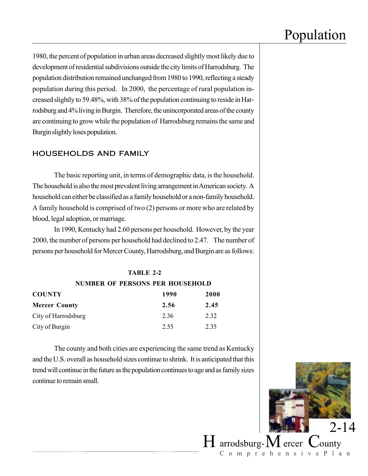1980, the percent of population in urban areas decreased slightly most likely due to development of residential subdivisions outside the city limits of Harrodsburg. The population distribution remained unchanged from 1980 to 1990, reflecting a steady population during this period. In 2000, the percentage of rural population increased slightly to 59.48%, with 38% of the population continuing to reside in Harrodsburg and 4% living in Burgin. Therefore, the unincorporated areas of the county are continuing to grow while the population of Harrodsburg remains the same and Burgin slightly loses population.

### HOUSEHOLDS AND FAMILY

The basic reporting unit, in terms of demographic data, is the household. The household is also the most prevalent living arrangement in American society. A household can either be classified as a family household or a non-family household. A family household is comprised of two (2) persons or more who are related by blood, legal adoption, or marriage.

In 1990, Kentucky had 2.60 persons per household. However, by the year 2000, the number of persons per household had declined to 2.47. The number of persons per household for Mercer County, Harrodsburg, and Burgin are as follows:

#### **TABLE 2-2**

**NUMBER OF PERSONS PER HOUSEHOLD**

| <b>COUNTY</b>        | 1990 | 2000 |
|----------------------|------|------|
| <b>Mercer County</b> | 2.56 | 2.45 |
| City of Harrodsburg  | 236  | 2.32 |
| City of Burgin       | 2.55 | 2.35 |

The county and both cities are experiencing the same trend as Kentucky and the U.S. overall as household sizes continue to shrink. It is anticipated that this trend will continue in the future as the population continues to age and as family sizes continue to remain small.



ComprehensivePlan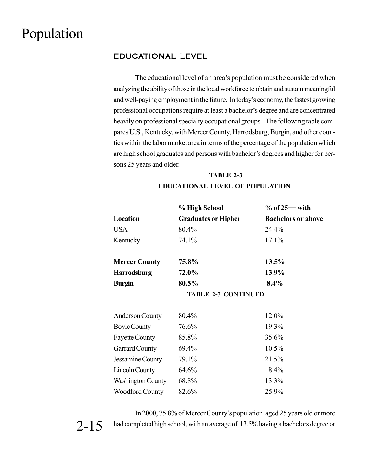2-15

### EDUCATIONAL LEVEL

The educational level of an area's population must be considered when analyzing the ability of those in the local workforce to obtain and sustain meaningful and well-paying employment in the future. In today's economy, the fastest growing professional occupations require at least a bachelor's degree and are concentrated heavily on professional specialty occupational groups. The following table compares U.S., Kentucky, with Mercer County, Harrodsburg, Burgin, and other counties within the labor market area in terms of the percentage of the population which are high school graduates and persons with bachelor's degrees and higher for persons 25 years and older.

## **TABLE 2-3 EDUCATIONAL LEVEL OF POPULATION**

|                          | % High School              | $%$ of 25++ with          |
|--------------------------|----------------------------|---------------------------|
| Location                 | <b>Graduates or Higher</b> | <b>Bachelors or above</b> |
| <b>USA</b>               | 80.4%                      | 24.4%                     |
| Kentucky                 | 74.1%                      | 17.1%                     |
|                          |                            |                           |
| <b>Mercer County</b>     | 75.8%                      | 13.5%                     |
| <b>Harrodsburg</b>       | 72.0%                      | 13.9%                     |
| <b>Burgin</b>            | 80.5%                      | 8.4%                      |
|                          | <b>TABLE 2-3 CONTINUED</b> |                           |
|                          |                            |                           |
| <b>Anderson County</b>   | 80.4%                      | 12.0%                     |
| <b>Boyle County</b>      | 76.6%                      | 19.3%                     |
| <b>Fayette County</b>    | 85.8%                      | 35.6%                     |
| <b>Garrard County</b>    | 69.4%                      | 10.5%                     |
| Jessamine County         | 79.1%                      | 21.5%                     |
| <b>Lincoln County</b>    | 64.6%                      | 8.4%                      |
| <b>Washington County</b> | 68.8%                      | 13.3%                     |
| <b>Woodford County</b>   | 82.6%                      | 25.9%                     |

In 2000, 75.8% of Mercer County's population aged 25 years old or more had completed high school, with an average of 13.5% having a bachelors degree or